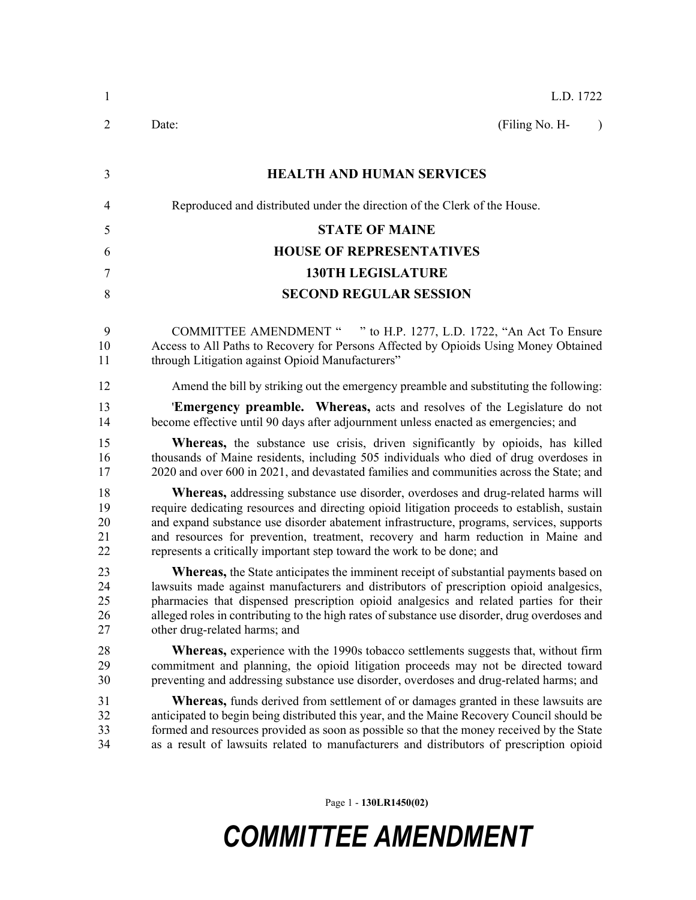| 1                          | L.D. 1722                                                                                                                                                                                                                                                                                                                                                                                                                                          |  |  |  |  |
|----------------------------|----------------------------------------------------------------------------------------------------------------------------------------------------------------------------------------------------------------------------------------------------------------------------------------------------------------------------------------------------------------------------------------------------------------------------------------------------|--|--|--|--|
| $\overline{2}$             | (Filing No. H-<br>Date:<br>$\lambda$                                                                                                                                                                                                                                                                                                                                                                                                               |  |  |  |  |
| 3                          | <b>HEALTH AND HUMAN SERVICES</b>                                                                                                                                                                                                                                                                                                                                                                                                                   |  |  |  |  |
|                            |                                                                                                                                                                                                                                                                                                                                                                                                                                                    |  |  |  |  |
| 4                          | Reproduced and distributed under the direction of the Clerk of the House.                                                                                                                                                                                                                                                                                                                                                                          |  |  |  |  |
| 5                          | <b>STATE OF MAINE</b>                                                                                                                                                                                                                                                                                                                                                                                                                              |  |  |  |  |
| 6                          | <b>HOUSE OF REPRESENTATIVES</b>                                                                                                                                                                                                                                                                                                                                                                                                                    |  |  |  |  |
| 7                          | <b>130TH LEGISLATURE</b>                                                                                                                                                                                                                                                                                                                                                                                                                           |  |  |  |  |
| 8                          | <b>SECOND REGULAR SESSION</b>                                                                                                                                                                                                                                                                                                                                                                                                                      |  |  |  |  |
| 9<br>10<br>11              | COMMITTEE AMENDMENT " " to H.P. 1277, L.D. 1722, "An Act To Ensure<br>Access to All Paths to Recovery for Persons Affected by Opioids Using Money Obtained<br>through Litigation against Opioid Manufacturers"                                                                                                                                                                                                                                     |  |  |  |  |
| 12                         | Amend the bill by striking out the emergency preamble and substituting the following:                                                                                                                                                                                                                                                                                                                                                              |  |  |  |  |
| 13<br>14                   | <b>Emergency preamble.</b> Whereas, acts and resolves of the Legislature do not<br>become effective until 90 days after adjournment unless enacted as emergencies; and                                                                                                                                                                                                                                                                             |  |  |  |  |
| 15<br>16<br>17             | <b>Whereas</b> , the substance use crisis, driven significantly by opioids, has killed<br>thousands of Maine residents, including 505 individuals who died of drug overdoses in<br>2020 and over 600 in 2021, and devastated families and communities across the State; and                                                                                                                                                                        |  |  |  |  |
| 18<br>19<br>20<br>21<br>22 | <b>Whereas,</b> addressing substance use disorder, overdoses and drug-related harms will<br>require dedicating resources and directing opioid litigation proceeds to establish, sustain<br>and expand substance use disorder abatement infrastructure, programs, services, supports<br>and resources for prevention, treatment, recovery and harm reduction in Maine and<br>represents a critically important step toward the work to be done; and |  |  |  |  |
| 23<br>24<br>25<br>26<br>27 | Whereas, the State anticipates the imminent receipt of substantial payments based on<br>lawsuits made against manufacturers and distributors of prescription opioid analgesics,<br>pharmacies that dispensed prescription opioid analgesics and related parties for their<br>alleged roles in contributing to the high rates of substance use disorder, drug overdoses and<br>other drug-related harms; and                                        |  |  |  |  |
| 28<br>29<br>30             | <b>Whereas,</b> experience with the 1990s tobacco settlements suggests that, without firm<br>commitment and planning, the opioid litigation proceeds may not be directed toward<br>preventing and addressing substance use disorder, overdoses and drug-related harms; and                                                                                                                                                                         |  |  |  |  |
| 31<br>32<br>33<br>34       | <b>Whereas,</b> funds derived from settlement of or damages granted in these lawsuits are<br>anticipated to begin being distributed this year, and the Maine Recovery Council should be<br>formed and resources provided as soon as possible so that the money received by the State<br>as a result of lawsuits related to manufacturers and distributors of prescription opioid                                                                   |  |  |  |  |
|                            |                                                                                                                                                                                                                                                                                                                                                                                                                                                    |  |  |  |  |

Page 1 - **130LR1450(02)**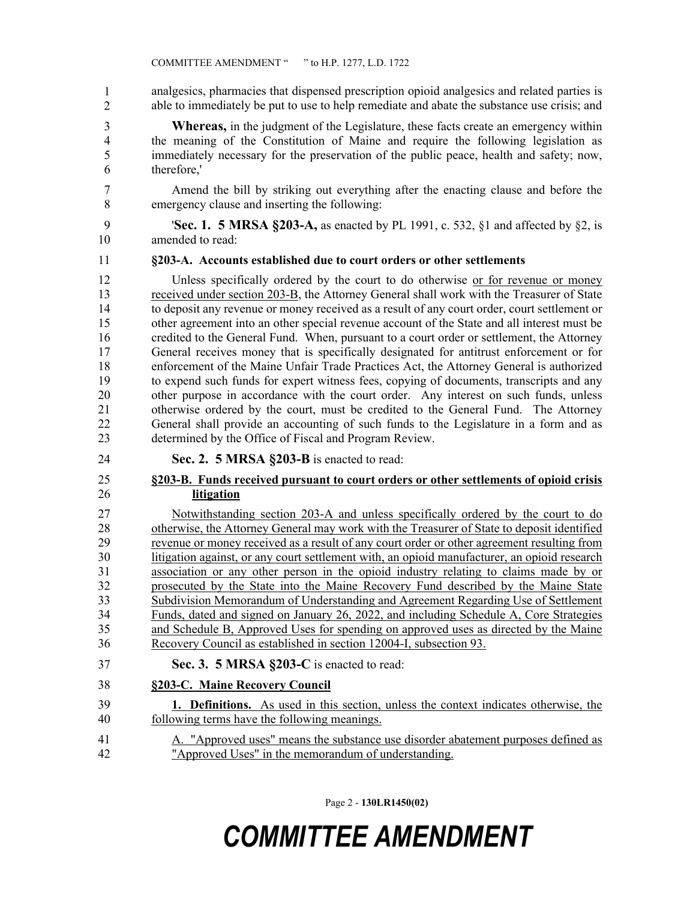analgesics, pharmacies that dispensed prescription opioid analgesics and related parties is able to immediately be put to use to help remediate and abate the substance use crisis; and 1 2

3 **Whereas,** in the judgment of the Legislature, these facts create an emergency within 4 the meaning of the Constitution of Maine and require the following legislation as 5 immediately necessary for the preservation of the public peace, health and safety; now, 6 therefore,'

7 Amend the bill by striking out everything after the enacting clause and before the 8 emergency clause and inserting the following:

9 '**Sec. 1. 5 MRSA §203-A,** as enacted by PL 1991, c. 532, §1 and affected by §2, is 10 amended to read:

#### 11 **§203-A. Accounts established due to court orders or other settlements**

12 Unless specifically ordered by the court to do otherwise or for revenue or money 13 received under section 203-B, the Attorney General shall work with the Treasurer of State 14 to deposit any revenue or money received as a result of any court order, court settlement or 15 other agreement into an other special revenue account of the State and all interest must be 16 credited to the General Fund. When, pursuant to a court order or settlement, the Attorney 17 General receives money that is specifically designated for antitrust enforcement or for 18 enforcement of the Maine Unfair Trade Practices Act, the Attorney General is authorized 19 to expend such funds for expert witness fees, copying of documents, transcripts and any 20 other purpose in accordance with the court order. Any interest on such funds, unless 21 otherwise ordered by the court, must be credited to the General Fund. The Attorney 22 General shall provide an accounting of such funds to the Legislature in a form and as 23 determined by the Office of Fiscal and Program Review.

24 **Sec. 2. 5 MRSA §203-B** is enacted to read:

#### 25 **§203-B. Funds received pursuant to court orders or other settlements of opioid crisis**  26 **litigation**

27 Notwithstanding section 203-A and unless specifically ordered by the court to do 28 otherwise, the Attorney General may work with the Treasurer of State to deposit identified 29 revenue or money received as a result of any court order or other agreement resulting from 30 litigation against, or any court settlement with, an opioid manufacturer, an opioid research 31 association or any other person in the opioid industry relating to claims made by or 32 prosecuted by the State into the Maine Recovery Fund described by the Maine State 33 Subdivision Memorandum of Understanding and Agreement Regarding Use of Settlement 34 Funds, dated and signed on January 26, 2022, and including Schedule A, Core Strategies 35 and Schedule B, Approved Uses for spending on approved uses as directed by the Maine 36 Recovery Council as established in section 12004-I, subsection 93.

- 37 **Sec. 3. 5 MRSA §203-C** is enacted to read:
- 38 **§203-C. Maine Recovery Council**
- 39 **1. Definitions.** As used in this section, unless the context indicates otherwise, the 40 following terms have the following meanings.
- 41 A. "Approved uses" means the substance use disorder abatement purposes defined as 42 "Approved Uses" in the memorandum of understanding.

Page 2 - **130LR1450(02)**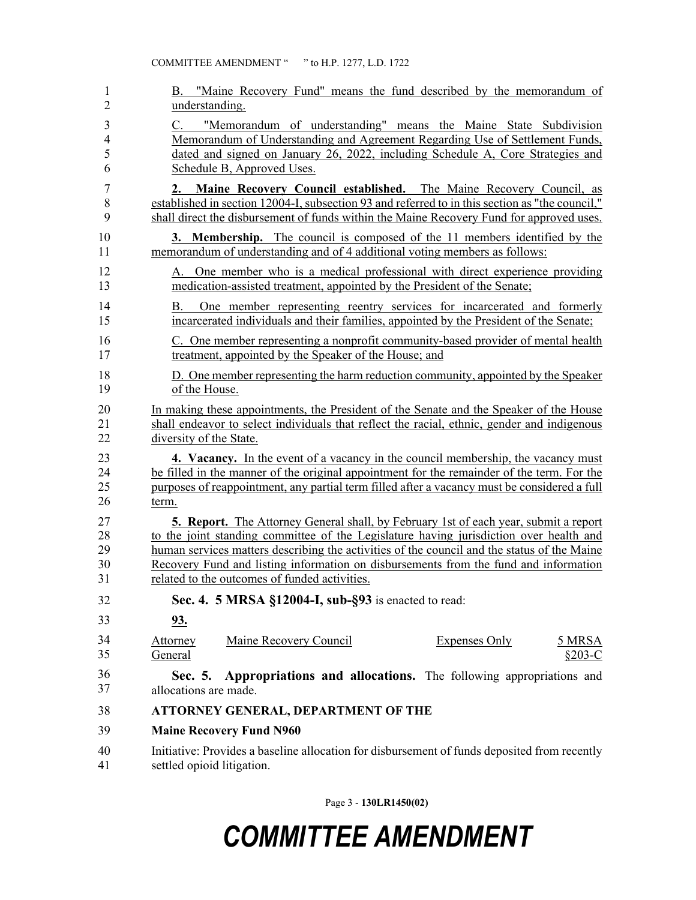| 1                                      | B. "Maine Recovery Fund" means the fund described by the memorandum of                                                                                                                                                                                                  |  |  |  |  |
|----------------------------------------|-------------------------------------------------------------------------------------------------------------------------------------------------------------------------------------------------------------------------------------------------------------------------|--|--|--|--|
| $\overline{2}$                         | understanding.                                                                                                                                                                                                                                                          |  |  |  |  |
| 3<br>$\overline{\mathbf{4}}$<br>5<br>6 | "Memorandum of understanding" means the Maine State Subdivision<br>C.<br>Memorandum of Understanding and Agreement Regarding Use of Settlement Funds,<br>dated and signed on January 26, 2022, including Schedule A, Core Strategies and<br>Schedule B, Approved Uses.  |  |  |  |  |
| 7<br>8<br>9                            | Maine Recovery Council established. The Maine Recovery Council, as<br>2.<br>established in section 12004-I, subsection 93 and referred to in this section as "the council,"<br>shall direct the disbursement of funds within the Maine Recovery Fund for approved uses. |  |  |  |  |
| 10                                     | <b>3. Membership.</b> The council is composed of the 11 members identified by the                                                                                                                                                                                       |  |  |  |  |
| 11                                     | memorandum of understanding and of 4 additional voting members as follows:                                                                                                                                                                                              |  |  |  |  |
| 12                                     | A. One member who is a medical professional with direct experience providing                                                                                                                                                                                            |  |  |  |  |
| 13                                     | medication-assisted treatment, appointed by the President of the Senate;                                                                                                                                                                                                |  |  |  |  |
| 14<br>15                               | One member representing reentry services for incarcerated and formerly<br>Β.<br>incarcerated individuals and their families, appointed by the President of the Senate;                                                                                                  |  |  |  |  |
| 16                                     | C. One member representing a nonprofit community-based provider of mental health                                                                                                                                                                                        |  |  |  |  |
| 17                                     | treatment, appointed by the Speaker of the House; and                                                                                                                                                                                                                   |  |  |  |  |
| 18                                     | D. One member representing the harm reduction community, appointed by the Speaker                                                                                                                                                                                       |  |  |  |  |
| 19                                     | of the House.                                                                                                                                                                                                                                                           |  |  |  |  |
| 20                                     | In making these appointments, the President of the Senate and the Speaker of the House                                                                                                                                                                                  |  |  |  |  |
| 21                                     | shall endeavor to select individuals that reflect the racial, ethnic, gender and indigenous                                                                                                                                                                             |  |  |  |  |
| 22                                     | diversity of the State.                                                                                                                                                                                                                                                 |  |  |  |  |
| 23                                     | <b>4. Vacancy.</b> In the event of a vacancy in the council membership, the vacancy must                                                                                                                                                                                |  |  |  |  |
| 24                                     | be filled in the manner of the original appointment for the remainder of the term. For the                                                                                                                                                                              |  |  |  |  |
| 25                                     | purposes of reappointment, any partial term filled after a vacancy must be considered a full                                                                                                                                                                            |  |  |  |  |
| 26                                     | term.                                                                                                                                                                                                                                                                   |  |  |  |  |
| 27                                     | <b>5. Report.</b> The Attorney General shall, by February 1st of each year, submit a report                                                                                                                                                                             |  |  |  |  |
| 28                                     | to the joint standing committee of the Legislature having jurisdiction over health and                                                                                                                                                                                  |  |  |  |  |
| 29                                     | human services matters describing the activities of the council and the status of the Maine                                                                                                                                                                             |  |  |  |  |
| 30                                     | Recovery Fund and listing information on disbursements from the fund and information                                                                                                                                                                                    |  |  |  |  |
| 31                                     | related to the outcomes of funded activities.                                                                                                                                                                                                                           |  |  |  |  |
| 32                                     | Sec. 4. 5 MRSA §12004-I, sub-§93 is enacted to read:                                                                                                                                                                                                                    |  |  |  |  |
| 33                                     | <u>93.</u>                                                                                                                                                                                                                                                              |  |  |  |  |
| 34<br>35                               | Maine Recovery Council<br><b>Expenses Only</b><br>Attorney<br>5 MRSA<br>General<br>$§203-C$                                                                                                                                                                             |  |  |  |  |
| 36<br>37                               | Appropriations and allocations. The following appropriations and<br>Sec. 5.<br>allocations are made.                                                                                                                                                                    |  |  |  |  |
| 38                                     | ATTORNEY GENERAL, DEPARTMENT OF THE                                                                                                                                                                                                                                     |  |  |  |  |
| 39                                     | <b>Maine Recovery Fund N960</b>                                                                                                                                                                                                                                         |  |  |  |  |
| 40                                     | Initiative: Provides a baseline allocation for disbursement of funds deposited from recently                                                                                                                                                                            |  |  |  |  |
| 41                                     | settled opioid litigation.                                                                                                                                                                                                                                              |  |  |  |  |

Page 3 - **130LR1450(02)**